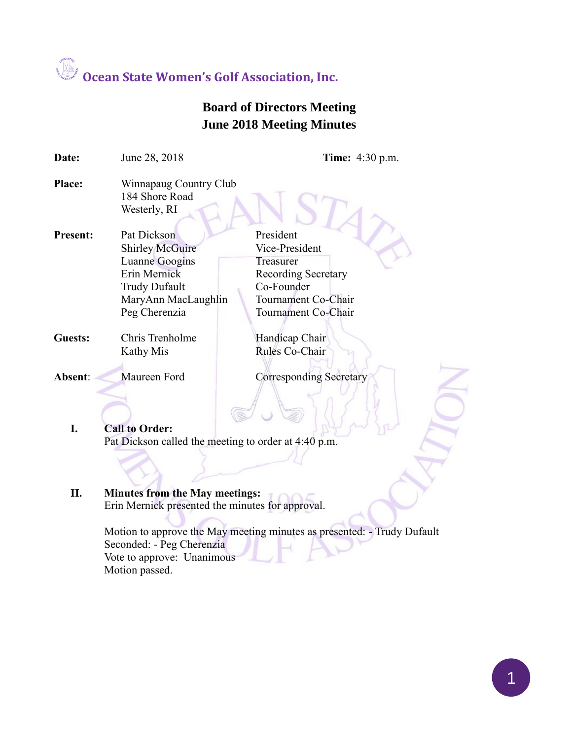### **Board of Directors Meeting June 2018 Meeting Minutes**

| Date:           | June 28, 2018                                                                                                                           | <b>Time:</b> 4:30 p.m.                                                                                                             |
|-----------------|-----------------------------------------------------------------------------------------------------------------------------------------|------------------------------------------------------------------------------------------------------------------------------------|
| <b>Place:</b>   | Winnapaug Country Club<br>184 Shore Road<br>Westerly, RI                                                                                |                                                                                                                                    |
| <b>Present:</b> | Pat Dickson<br><b>Shirley McGuire</b><br>Luanne Googins<br>Erin Mernick<br><b>Trudy Dufault</b><br>MaryAnn MacLaughlin<br>Peg Cherenzia | President<br>Vice-President<br>Treasurer<br><b>Recording Secretary</b><br>Co-Founder<br>Tournament Co-Chair<br>Tournament Co-Chair |
| <b>Guests:</b>  | Chris Trenholme<br>Kathy Mis                                                                                                            | Handicap Chair<br>Rules Co-Chair                                                                                                   |
| <b>Absent:</b>  | Maureen Ford                                                                                                                            | <b>Corresponding Secretary</b>                                                                                                     |
| I.              | <b>Call to Order:</b>                                                                                                                   |                                                                                                                                    |
|                 | Pat Dickson called the meeting to order at 4:40 p.m.                                                                                    |                                                                                                                                    |

#### **II. Minutes from the May meetings:** Erin Mernick presented the minutes for approval.

Motion to approve the May meeting minutes as presented: - Trudy Dufault Seconded: - Peg Cherenzia Vote to approve: Unanimous Motion passed.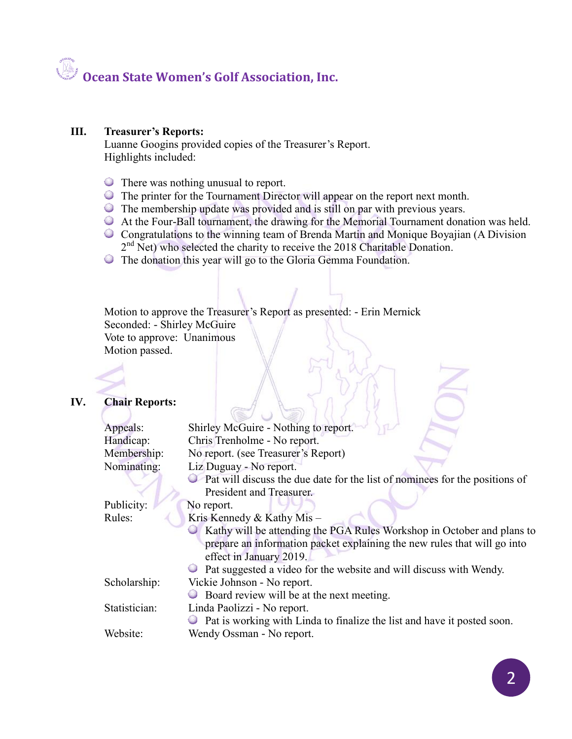#### **III. Treasurer's Reports:**

Luanne Googins provided copies of the Treasurer's Report. Highlights included:

- There was nothing unusual to report.
- The printer for the Tournament Director will appear on the report next month.
- The membership update was provided and is still on par with previous years.
- At the Four-Ball tournament, the drawing for the Memorial Tournament donation was held.
- Congratulations to the winning team of Brenda Martin and Monique Boyajian (A Division 2<sup>nd</sup> Net) who selected the charity to receive the 2018 Charitable Donation.
- The donation this year will go to the Gloria Gemma Foundation.

Motion to approve the Treasurer's Report as presented: - Erin Mernick Seconded: - Shirley McGuire Vote to approve: Unanimous Motion passed.

#### **IV. Chair Reports:**

| Appeals:                               | Shirley McGuire - Nothing to report.                                          |  |
|----------------------------------------|-------------------------------------------------------------------------------|--|
| Handicap:                              | Chris Trenholme - No report.                                                  |  |
| Membership:                            | No report. (see Treasurer's Report)                                           |  |
| Nominating:<br>Liz Duguay - No report. |                                                                               |  |
|                                        | • Pat will discuss the due date for the list of nominees for the positions of |  |
|                                        | President and Treasurer.                                                      |  |
| Publicity:                             | No report.                                                                    |  |
| Rules:                                 | Kris Kennedy & Kathy Mis -                                                    |  |
|                                        | Kathy will be attending the PGA Rules Workshop in October and plans to        |  |
|                                        | prepare an information packet explaining the new rules that will go into      |  |
|                                        | effect in January 2019.                                                       |  |
|                                        | Pat suggested a video for the website and will discuss with Wendy.            |  |
| Scholarship:                           | Vickie Johnson - No report.                                                   |  |
|                                        | Board review will be at the next meeting.                                     |  |
| Statistician:                          | Linda Paolizzi - No report.                                                   |  |
|                                        | • Pat is working with Linda to finalize the list and have it posted soon.     |  |
| Website:                               | Wendy Ossman - No report.                                                     |  |
|                                        |                                                                               |  |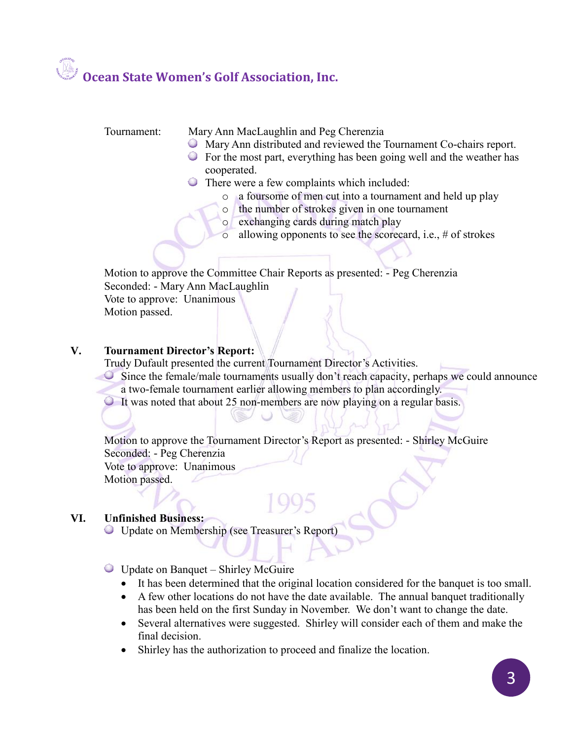Tournament: Mary Ann MacLaughlin and Peg Cherenzia

- Mary Ann distributed and reviewed the Tournament Co-chairs report.
- For the most part, everything has been going well and the weather has cooperated.
- **There were a few complaints which included:** 
	- o a foursome of men cut into a tournament and held up play
	- o the number of strokes given in one tournament
	- o exchanging cards during match play
	- o allowing opponents to see the scorecard, i.e., # of strokes

Motion to approve the Committee Chair Reports as presented: - Peg Cherenzia Seconded: - Mary Ann MacLaughlin Vote to approve: Unanimous

Motion passed.

#### **V. Tournament Director's Report:**

Trudy Dufault presented the current Tournament Director's Activities.

- Since the female/male tournaments usually don't reach capacity, perhaps we could announce a two-female tournament earlier allowing members to plan accordingly.
- It was noted that about 25 non-members are now playing on a regular basis.

Motion to approve the Tournament Director's Report as presented: - Shirley McGuire Seconded: - Peg Cherenzia Vote to approve: Unanimous Motion passed.

#### **VI. Unfinished Business:**

Update on Membership (see Treasurer's Report)

Update on Banquet – Shirley McGuire

- It has been determined that the original location considered for the banquet is too small.
- A few other locations do not have the date available. The annual banquet traditionally has been held on the first Sunday in November. We don't want to change the date.
- Several alternatives were suggested. Shirley will consider each of them and make the final decision.
- Shirley has the authorization to proceed and finalize the location.